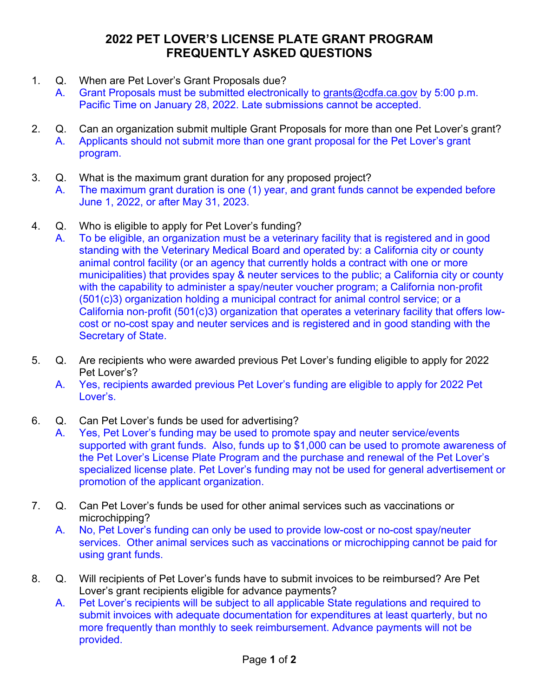## **2022 PET LOVER'S LICENSE PLATE GRANT PROGRAM FREQUENTLY ASKED QUESTIONS**

- 1. Q. When are Pet Lover's Grant Proposals due?
	- A. Grant Proposals must be submitted electronically to [grants@cdfa.ca.gov](https://cdfao365-my.sharepoint.com/personal/stephen_tachiera_cdfa_ca_gov/Documents/PLP/2020%20Pet%20Lovers%20License%20Plate/Drafts/grants@cdfa.ca.gov) by 5:00 p.m. Pacific Time on January 28, 2022. Late submissions cannot be accepted.
- 2. Q. Can an organization submit multiple Grant Proposals for more than one Pet Lover's grant? A. Applicants should not submit more than one grant proposal for the Pet Lover's grant program.
- 3. Q. What is the maximum grant duration for any proposed project?

A. The maximum grant duration is one (1) year, and grant funds cannot be expended before June 1, 2022, or after May 31, 2023.

- 4. Q. Who is eligible to apply for Pet Lover's funding?
	- A. To be eligible, an organization must be a veterinary facility that is registered and in good standing with the Veterinary Medical Board and operated by: a California city or county animal control facility (or an agency that currently holds a contract with one or more municipalities) that provides spay & neuter services to the public; a California city or county with the capability to administer a spay/neuter voucher program; a California non-profit (501(c)3) organization holding a municipal contract for animal control service; or a California non‐profit (501(c)3) organization that operates a veterinary facility that offers lowcost or no-cost spay and neuter services and is registered and in good standing with the Secretary of State.
- 5. Q. Are recipients who were awarded previous Pet Lover's funding eligible to apply for 2022 Pet Lover's?
	- A. Yes, recipients awarded previous Pet Lover's funding are eligible to apply for 2022 Pet Lover's.
- 6. Q. Can Pet Lover's funds be used for advertising?
	- A. Yes, Pet Lover's funding may be used to promote spay and neuter service/events supported with grant funds. Also, funds up to \$1,000 can be used to promote awareness of the Pet Lover's License Plate Program and the purchase and renewal of the Pet Lover's specialized license plate. Pet Lover's funding may not be used for general advertisement or promotion of the applicant organization.
- 7. Q. Can Pet Lover's funds be used for other animal services such as vaccinations or microchipping?
	- A. No, Pet Lover's funding can only be used to provide low-cost or no-cost spay/neuter services. Other animal services such as vaccinations or microchipping cannot be paid for using grant funds.
- 8. Q. Will recipients of Pet Lover's funds have to submit invoices to be reimbursed? Are Pet Lover's grant recipients eligible for advance payments?
	- A. Pet Lover's recipients will be subject to all applicable State regulations and required to submit invoices with adequate documentation for expenditures at least quarterly, but no more frequently than monthly to seek reimbursement. Advance payments will not be provided.